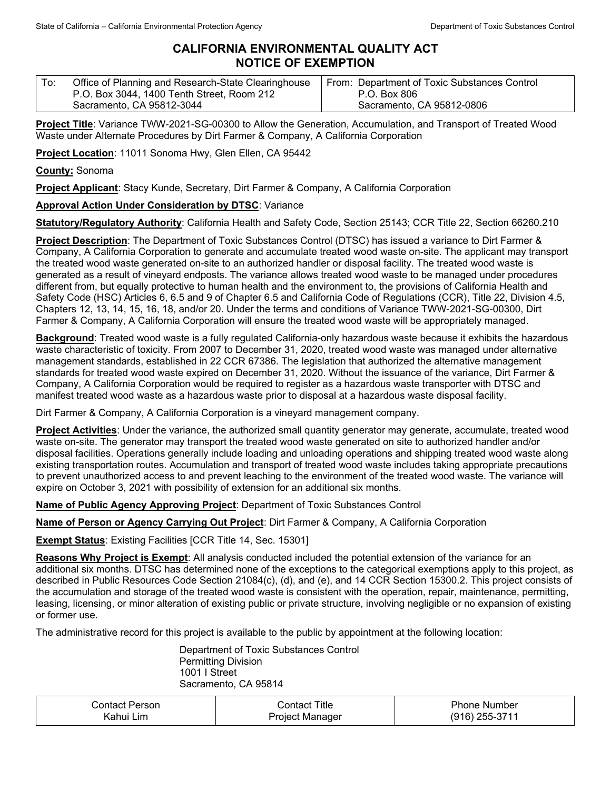## **CALIFORNIA ENVIRONMENTAL QUALITY ACT NOTICE OF EXEMPTION**

| To: | Office of Planning and Research-State Clearinghouse | From: Department of Toxic Substances Control |
|-----|-----------------------------------------------------|----------------------------------------------|
|     | P.O. Box 3044, 1400 Tenth Street, Room 212          | P.O. Box 806                                 |
|     | Sacramento, CA 95812-3044                           | Sacramento, CA 95812-0806                    |

**Project Title**: Variance TWW-2021-SG-00300 to Allow the Generation, Accumulation, and Transport of Treated Wood Waste under Alternate Procedures by Dirt Farmer & Company, A California Corporation

**Project Location**: 11011 Sonoma Hwy, Glen Ellen, CA 95442

**County:** Sonoma

**Project Applicant**: Stacy Kunde, Secretary, Dirt Farmer & Company, A California Corporation

## **Approval Action Under Consideration by DTSC**: Variance

**Statutory/Regulatory Authority**: California Health and Safety Code, Section 25143; CCR Title 22, Section 66260.210

**Project Description**: The Department of Toxic Substances Control (DTSC) has issued a variance to Dirt Farmer & Company, A California Corporation to generate and accumulate treated wood waste on-site. The applicant may transport the treated wood waste generated on-site to an authorized handler or disposal facility. The treated wood waste is generated as a result of vineyard endposts. The variance allows treated wood waste to be managed under procedures different from, but equally protective to human health and the environment to, the provisions of California Health and Safety Code (HSC) Articles 6, 6.5 and 9 of Chapter 6.5 and California Code of Regulations (CCR), Title 22, Division 4.5, Chapters 12, 13, 14, 15, 16, 18, and/or 20. Under the terms and conditions of Variance TWW-2021-SG-00300, Dirt Farmer & Company, A California Corporation will ensure the treated wood waste will be appropriately managed.

**Background**: Treated wood waste is a fully regulated California-only hazardous waste because it exhibits the hazardous waste characteristic of toxicity. From 2007 to December 31, 2020, treated wood waste was managed under alternative management standards, established in 22 CCR 67386. The legislation that authorized the alternative management standards for treated wood waste expired on December 31, 2020. Without the issuance of the variance, Dirt Farmer & Company, A California Corporation would be required to register as a hazardous waste transporter with DTSC and manifest treated wood waste as a hazardous waste prior to disposal at a hazardous waste disposal facility.

Dirt Farmer & Company, A California Corporation is a vineyard management company.

**Project Activities**: Under the variance, the authorized small quantity generator may generate, accumulate, treated wood waste on-site. The generator may transport the treated wood waste generated on site to authorized handler and/or disposal facilities. Operations generally include loading and unloading operations and shipping treated wood waste along existing transportation routes. Accumulation and transport of treated wood waste includes taking appropriate precautions to prevent unauthorized access to and prevent leaching to the environment of the treated wood waste. The variance will expire on October 3, 2021 with possibility of extension for an additional six months.

**Name of Public Agency Approving Project**: Department of Toxic Substances Control

**Name of Person or Agency Carrying Out Project**: Dirt Farmer & Company, A California Corporation

**Exempt Status**: Existing Facilities [CCR Title 14, Sec. 15301]

**Reasons Why Project is Exempt**: All analysis conducted included the potential extension of the variance for an additional six months. DTSC has determined none of the exceptions to the categorical exemptions apply to this project, as described in Public Resources Code Section 21084(c), (d), and (e), and 14 CCR Section 15300.2. This project consists of the accumulation and storage of the treated wood waste is consistent with the operation, repair, maintenance, permitting, leasing, licensing, or minor alteration of existing public or private structure, involving negligible or no expansion of existing or former use.

The administrative record for this project is available to the public by appointment at the following location:

Department of Toxic Substances Control Permitting Division 1001 I Street Sacramento, CA 95814

| Person<br>じontact ' | Title<br>∵ ontactد.    | Phone Number      |
|---------------------|------------------------|-------------------|
| Lim<br>Kahu⊨l       | Proiect M<br>. Manader | 255-3711<br>(916) |